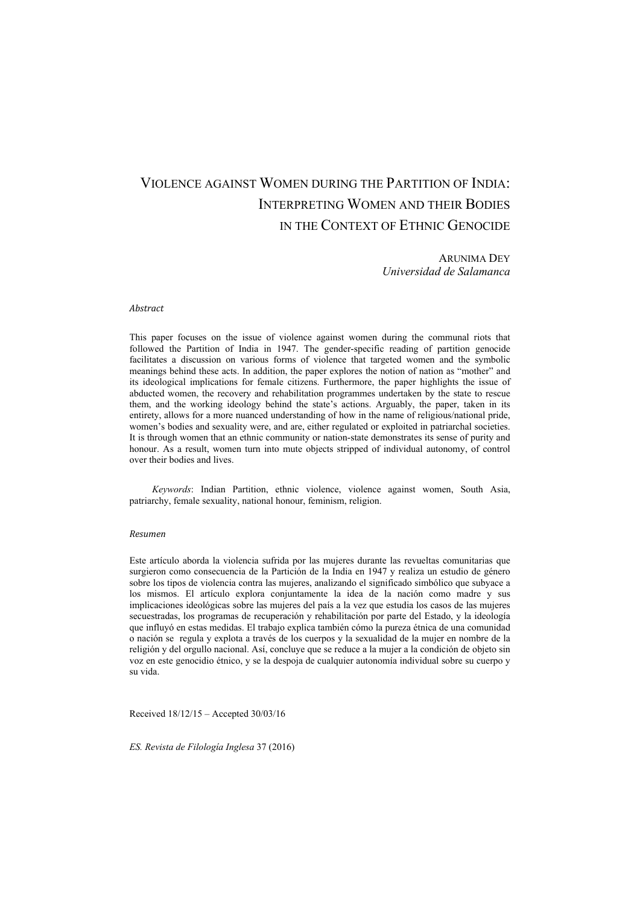## VIOLENCE AGAINST WOMEN DURING THE PARTITION OF INDIA: INTERPRETING WOMEN AND THEIR BODIES IN THE CONTEXT OF ETHNIC GENOCIDE

ARUNIMA DEY *Universidad de Salamanca*

## *Abstract*

This paper focuses on the issue of violence against women during the communal riots that followed the Partition of India in 1947. The gender-specific reading of partition genocide facilitates a discussion on various forms of violence that targeted women and the symbolic meanings behind these acts. In addition, the paper explores the notion of nation as "mother" and its ideological implications for female citizens. Furthermore, the paper highlights the issue of abducted women, the recovery and rehabilitation programmes undertaken by the state to rescue them, and the working ideology behind the state's actions. Arguably, the paper, taken in its entirety, allows for a more nuanced understanding of how in the name of religious/national pride, women's bodies and sexuality were, and are, either regulated or exploited in patriarchal societies. It is through women that an ethnic community or nation-state demonstrates its sense of purity and honour. As a result, women turn into mute objects stripped of individual autonomy, of control over their bodies and lives.

*Keywords*: Indian Partition, ethnic violence, violence against women, South Asia, patriarchy, female sexuality, national honour, feminism, religion.

## *Resumen*

Este artículo aborda la violencia sufrida por las mujeres durante las revueltas comunitarias que surgieron como consecuencia de la Partición de la India en 1947 y realiza un estudio de género sobre los tipos de violencia contra las mujeres, analizando el significado simbólico que subyace a los mismos. El artículo explora conjuntamente la idea de la nación como madre y sus implicaciones ideológicas sobre las mujeres del país a la vez que estudia los casos de las mujeres secuestradas, los programas de recuperación y rehabilitación por parte del Estado, y la ideología que influyó en estas medidas. El trabajo explica también cómo la pureza étnica de una comunidad o nación se regula y explota a través de los cuerpos y la sexualidad de la mujer en nombre de la religión y del orgullo nacional. Así, concluye que se reduce a la mujer a la condición de objeto sin voz en este genocidio étnico, y se la despoja de cualquier autonomía individual sobre su cuerpo y su vida.

Received 18/12/15 – Accepted 30/03/16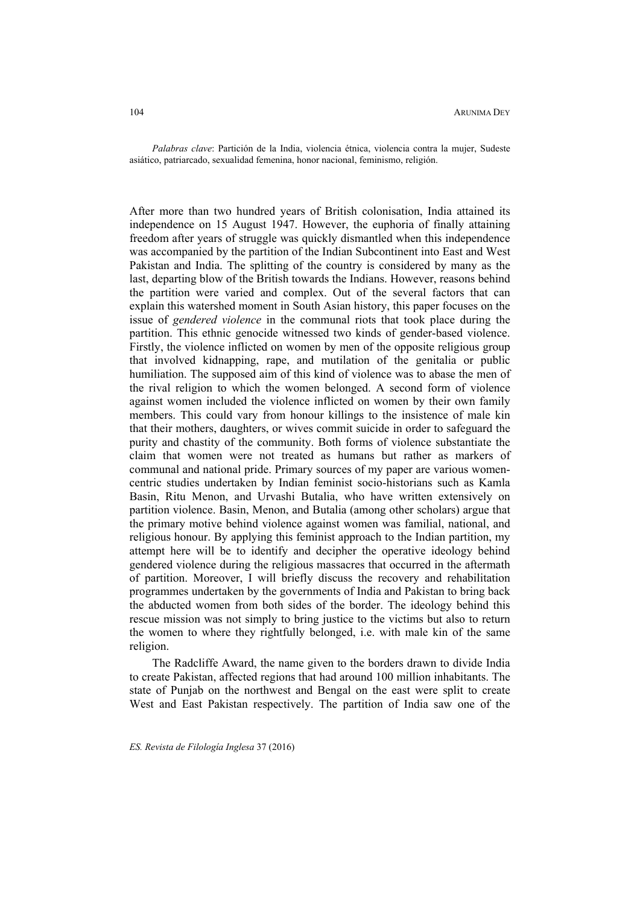*Palabras clave*: Partición de la India, violencia étnica, violencia contra la mujer, Sudeste asiático, patriarcado, sexualidad femenina, honor nacional, feminismo, religión.

After more than two hundred years of British colonisation, India attained its independence on 15 August 1947. However, the euphoria of finally attaining freedom after years of struggle was quickly dismantled when this independence was accompanied by the partition of the Indian Subcontinent into East and West Pakistan and India. The splitting of the country is considered by many as the last, departing blow of the British towards the Indians. However, reasons behind the partition were varied and complex. Out of the several factors that can explain this watershed moment in South Asian history, this paper focuses on the issue of *gendered violence* in the communal riots that took place during the partition. This ethnic genocide witnessed two kinds of gender-based violence. Firstly, the violence inflicted on women by men of the opposite religious group that involved kidnapping, rape, and mutilation of the genitalia or public humiliation. The supposed aim of this kind of violence was to abase the men of the rival religion to which the women belonged. A second form of violence against women included the violence inflicted on women by their own family members. This could vary from honour killings to the insistence of male kin that their mothers, daughters, or wives commit suicide in order to safeguard the purity and chastity of the community. Both forms of violence substantiate the claim that women were not treated as humans but rather as markers of communal and national pride. Primary sources of my paper are various womencentric studies undertaken by Indian feminist socio-historians such as Kamla Basin, Ritu Menon, and Urvashi Butalia, who have written extensively on partition violence. Basin, Menon, and Butalia (among other scholars) argue that the primary motive behind violence against women was familial, national, and religious honour. By applying this feminist approach to the Indian partition, my attempt here will be to identify and decipher the operative ideology behind gendered violence during the religious massacres that occurred in the aftermath of partition. Moreover, I will briefly discuss the recovery and rehabilitation programmes undertaken by the governments of India and Pakistan to bring back the abducted women from both sides of the border. The ideology behind this rescue mission was not simply to bring justice to the victims but also to return the women to where they rightfully belonged, i.e. with male kin of the same religion.

The Radcliffe Award, the name given to the borders drawn to divide India to create Pakistan, affected regions that had around 100 million inhabitants. The state of Punjab on the northwest and Bengal on the east were split to create West and East Pakistan respectively. The partition of India saw one of the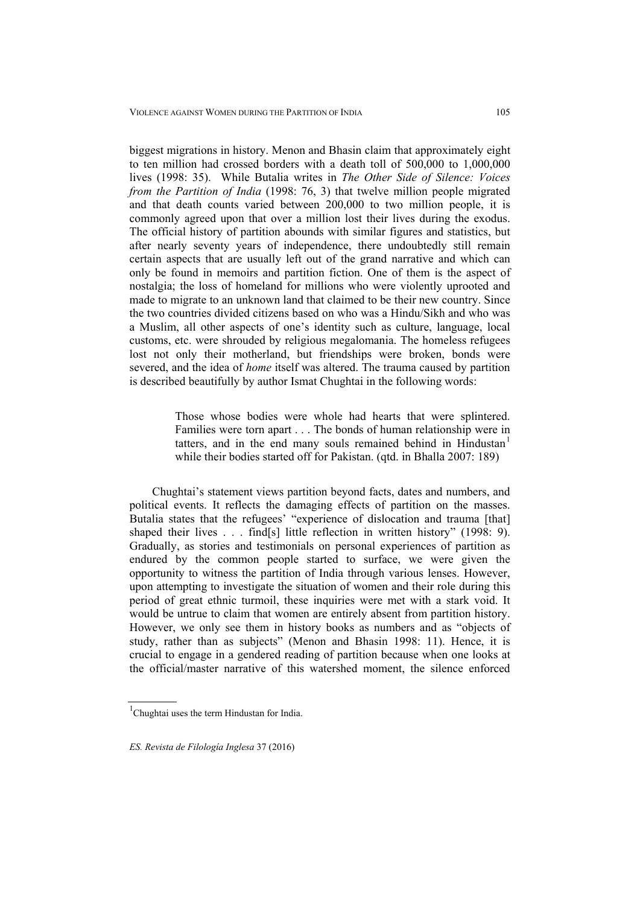biggest migrations in history. Menon and Bhasin claim that approximately eight to ten million had crossed borders with a death toll of 500,000 to 1,000,000 lives (1998: 35). While Butalia writes in *The Other Side of Silence: Voices from the Partition of India* (1998: 76, 3) that twelve million people migrated and that death counts varied between 200,000 to two million people, it is commonly agreed upon that over a million lost their lives during the exodus. The official history of partition abounds with similar figures and statistics, but after nearly seventy years of independence, there undoubtedly still remain certain aspects that are usually left out of the grand narrative and which can only be found in memoirs and partition fiction. One of them is the aspect of nostalgia; the loss of homeland for millions who were violently uprooted and made to migrate to an unknown land that claimed to be their new country. Since the two countries divided citizens based on who was a Hindu/Sikh and who was a Muslim, all other aspects of one's identity such as culture, language, local customs, etc. were shrouded by religious megalomania. The homeless refugees lost not only their motherland, but friendships were broken, bonds were severed, and the idea of *home* itself was altered. The trauma caused by partition is described beautifully by author Ismat Chughtai in the following words:

> Those whose bodies were whole had hearts that were splintered. Families were torn apart . . . The bonds of human relationship were in tatters, and in the end many souls remained behind in  $H_1$ industan $<sup>1</sup>$ </sup> while their bodies started off for Pakistan. (qtd. in Bhalla 2007: 189)

Chughtai's statement views partition beyond facts, dates and numbers, and political events. It reflects the damaging effects of partition on the masses. Butalia states that the refugees' "experience of dislocation and trauma [that] shaped their lives . . . find[s] little reflection in written history" (1998: 9). Gradually, as stories and testimonials on personal experiences of partition as endured by the common people started to surface, we were given the opportunity to witness the partition of India through various lenses. However, upon attempting to investigate the situation of women and their role during this period of great ethnic turmoil, these inquiries were met with a stark void. It would be untrue to claim that women are entirely absent from partition history. However, we only see them in history books as numbers and as "objects of study, rather than as subjects" (Menon and Bhasin 1998: 11). Hence, it is crucial to engage in a gendered reading of partition because when one looks at the official/master narrative of this watershed moment, the silence enforced

<sup>&</sup>lt;sup>1</sup>Chughtai uses the term Hindustan for India.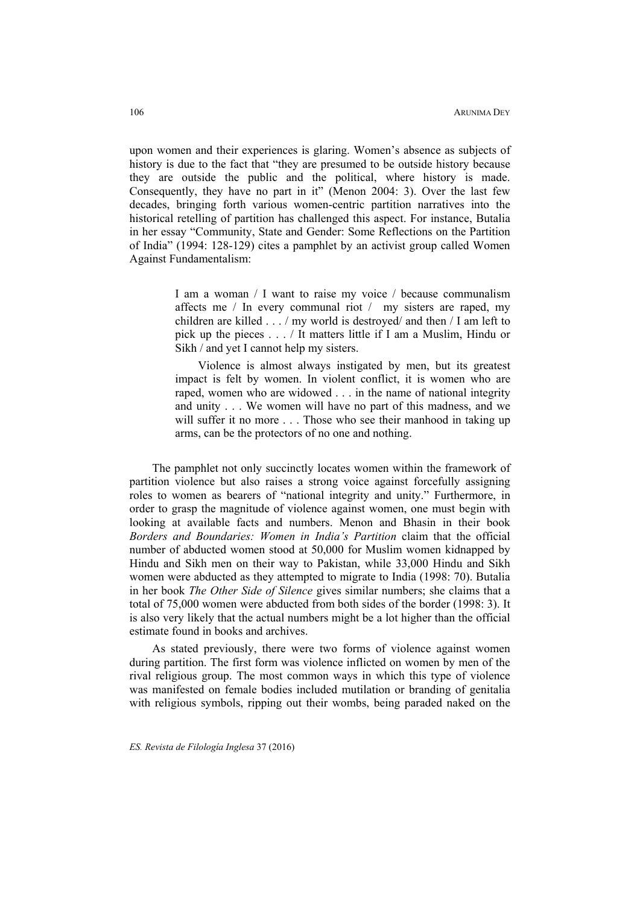upon women and their experiences is glaring. Women's absence as subjects of history is due to the fact that "they are presumed to be outside history because they are outside the public and the political, where history is made. Consequently, they have no part in it" (Menon 2004: 3). Over the last few decades, bringing forth various women-centric partition narratives into the historical retelling of partition has challenged this aspect. For instance, Butalia in her essay "Community, State and Gender: Some Reflections on the Partition of India" (1994: 128-129) cites a pamphlet by an activist group called Women Against Fundamentalism:

> I am a woman / I want to raise my voice / because communalism affects me / In every communal riot / my sisters are raped, my children are killed . . . / my world is destroyed/ and then / I am left to pick up the pieces . . . / It matters little if I am a Muslim, Hindu or Sikh / and yet I cannot help my sisters.

> Violence is almost always instigated by men, but its greatest impact is felt by women. In violent conflict, it is women who are raped, women who are widowed . . . in the name of national integrity and unity . . . We women will have no part of this madness, and we will suffer it no more . . . Those who see their manhood in taking up arms, can be the protectors of no one and nothing.

The pamphlet not only succinctly locates women within the framework of partition violence but also raises a strong voice against forcefully assigning roles to women as bearers of "national integrity and unity." Furthermore, in order to grasp the magnitude of violence against women, one must begin with looking at available facts and numbers. Menon and Bhasin in their book *Borders and Boundaries: Women in India's Partition* claim that the official number of abducted women stood at 50,000 for Muslim women kidnapped by Hindu and Sikh men on their way to Pakistan, while 33,000 Hindu and Sikh women were abducted as they attempted to migrate to India (1998: 70). Butalia in her book *The Other Side of Silence* gives similar numbers; she claims that a total of 75,000 women were abducted from both sides of the border (1998: 3). It is also very likely that the actual numbers might be a lot higher than the official estimate found in books and archives.

As stated previously, there were two forms of violence against women during partition. The first form was violence inflicted on women by men of the rival religious group. The most common ways in which this type of violence was manifested on female bodies included mutilation or branding of genitalia with religious symbols, ripping out their wombs, being paraded naked on the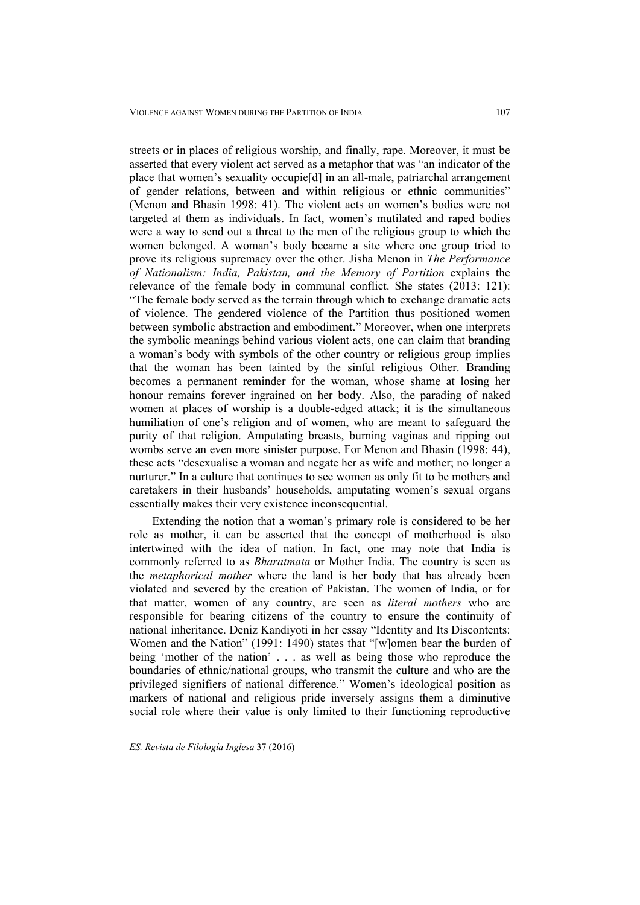streets or in places of religious worship, and finally, rape. Moreover, it must be asserted that every violent act served as a metaphor that was "an indicator of the place that women's sexuality occupie[d] in an all-male, patriarchal arrangement of gender relations, between and within religious or ethnic communities" (Menon and Bhasin 1998: 41). The violent acts on women's bodies were not targeted at them as individuals. In fact, women's mutilated and raped bodies were a way to send out a threat to the men of the religious group to which the women belonged. A woman's body became a site where one group tried to prove its religious supremacy over the other. Jisha Menon in *The Performance of Nationalism: India, Pakistan, and the Memory of Partition* explains the relevance of the female body in communal conflict. She states (2013: 121): "The female body served as the terrain through which to exchange dramatic acts of violence. The gendered violence of the Partition thus positioned women between symbolic abstraction and embodiment." Moreover, when one interprets the symbolic meanings behind various violent acts, one can claim that branding a woman's body with symbols of the other country or religious group implies that the woman has been tainted by the sinful religious Other. Branding becomes a permanent reminder for the woman, whose shame at losing her honour remains forever ingrained on her body. Also, the parading of naked women at places of worship is a double-edged attack; it is the simultaneous humiliation of one's religion and of women, who are meant to safeguard the purity of that religion. Amputating breasts, burning vaginas and ripping out wombs serve an even more sinister purpose. For Menon and Bhasin (1998: 44),

these acts "desexualise a woman and negate her as wife and mother; no longer a nurturer." In a culture that continues to see women as only fit to be mothers and caretakers in their husbands' households, amputating women's sexual organs essentially makes their very existence inconsequential.

Extending the notion that a woman's primary role is considered to be her role as mother, it can be asserted that the concept of motherhood is also intertwined with the idea of nation. In fact, one may note that India is commonly referred to as *Bharatmata* or Mother India. The country is seen as the *metaphorical mother* where the land is her body that has already been violated and severed by the creation of Pakistan. The women of India, or for that matter, women of any country, are seen as *literal mothers* who are responsible for bearing citizens of the country to ensure the continuity of national inheritance. Deniz Kandiyoti in her essay "Identity and Its Discontents: Women and the Nation" (1991: 1490) states that "[w]omen bear the burden of being 'mother of the nation' . . . as well as being those who reproduce the boundaries of ethnic/national groups, who transmit the culture and who are the privileged signifiers of national difference." Women's ideological position as markers of national and religious pride inversely assigns them a diminutive social role where their value is only limited to their functioning reproductive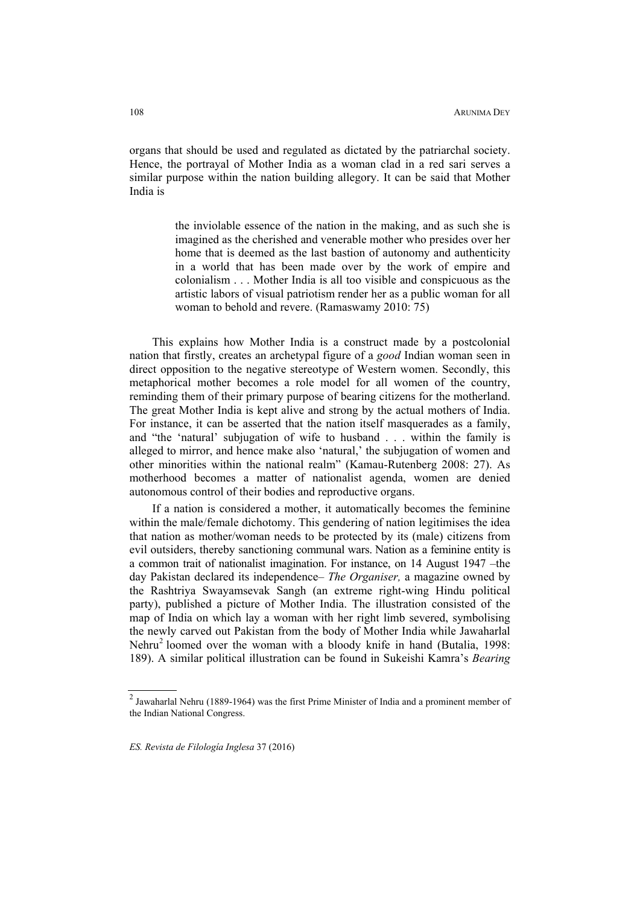organs that should be used and regulated as dictated by the patriarchal society. Hence, the portrayal of Mother India as a woman clad in a red sari serves a similar purpose within the nation building allegory. It can be said that Mother India is

> the inviolable essence of the nation in the making, and as such she is imagined as the cherished and venerable mother who presides over her home that is deemed as the last bastion of autonomy and authenticity in a world that has been made over by the work of empire and colonialism . . . Mother India is all too visible and conspicuous as the artistic labors of visual patriotism render her as a public woman for all woman to behold and revere. (Ramaswamy 2010: 75)

This explains how Mother India is a construct made by a postcolonial nation that firstly, creates an archetypal figure of a *good* Indian woman seen in direct opposition to the negative stereotype of Western women. Secondly, this metaphorical mother becomes a role model for all women of the country, reminding them of their primary purpose of bearing citizens for the motherland. The great Mother India is kept alive and strong by the actual mothers of India. For instance, it can be asserted that the nation itself masquerades as a family, and "the 'natural' subjugation of wife to husband . . . within the family is alleged to mirror, and hence make also 'natural,' the subjugation of women and other minorities within the national realm" (Kamau-Rutenberg 2008: 27). As motherhood becomes a matter of nationalist agenda, women are denied autonomous control of their bodies and reproductive organs.

If a nation is considered a mother, it automatically becomes the feminine within the male/female dichotomy. This gendering of nation legitimises the idea that nation as mother/woman needs to be protected by its (male) citizens from evil outsiders, thereby sanctioning communal wars. Nation as a feminine entity is a common trait of nationalist imagination. For instance, on 14 August 1947 –the day Pakistan declared its independence– *The Organiser,* a magazine owned by the Rashtriya Swayamsevak Sangh (an extreme right-wing Hindu political party), published a picture of Mother India. The illustration consisted of the map of India on which lay a woman with her right limb severed, symbolising the newly carved out Pakistan from the body of Mother India while Jawaharlal Nehru<sup>2</sup> loomed over the woman with a bloody knife in hand (Butalia, 1998: 189). A similar political illustration can be found in Sukeishi Kamra's *Bearing* 

<sup>2</sup> Jawaharlal Nehru (1889-1964) was the first Prime Minister of India and a prominent member of the Indian National Congress.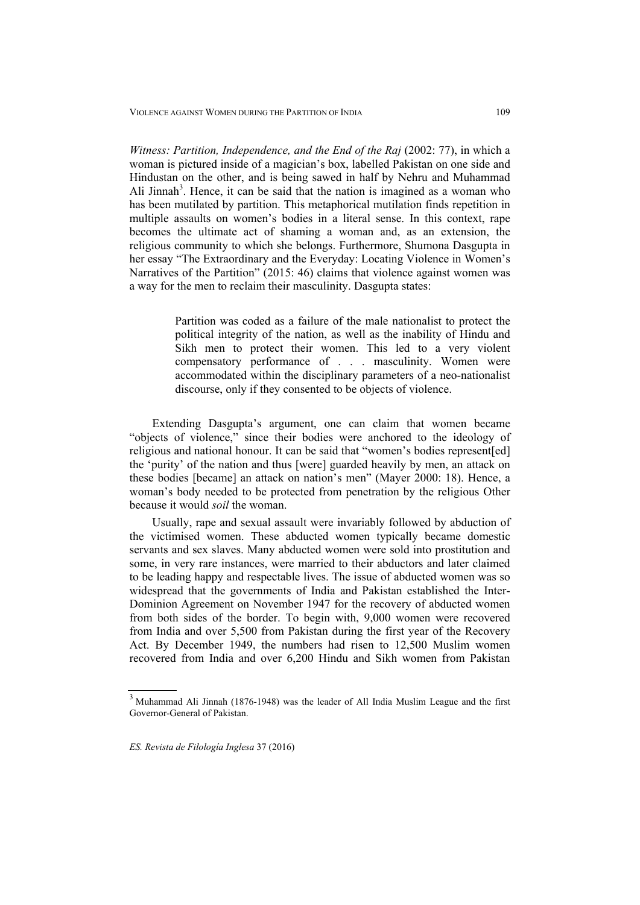*Witness: Partition, Independence, and the End of the Raj* (2002: 77), in which a woman is pictured inside of a magician's box, labelled Pakistan on one side and Hindustan on the other, and is being sawed in half by Nehru and Muhammad Ali Jinnah<sup>3</sup>. Hence, it can be said that the nation is imagined as a woman who has been mutilated by partition. This metaphorical mutilation finds repetition in multiple assaults on women's bodies in a literal sense. In this context, rape becomes the ultimate act of shaming a woman and, as an extension, the religious community to which she belongs. Furthermore, Shumona Dasgupta in her essay "The Extraordinary and the Everyday: Locating Violence in Women's Narratives of the Partition" (2015: 46) claims that violence against women was a way for the men to reclaim their masculinity. Dasgupta states:

> Partition was coded as a failure of the male nationalist to protect the political integrity of the nation, as well as the inability of Hindu and Sikh men to protect their women. This led to a very violent compensatory performance of . . . masculinity. Women were accommodated within the disciplinary parameters of a neo-nationalist discourse, only if they consented to be objects of violence.

Extending Dasgupta's argument, one can claim that women became "objects of violence," since their bodies were anchored to the ideology of religious and national honour. It can be said that "women's bodies represent[ed] the 'purity' of the nation and thus [were] guarded heavily by men, an attack on these bodies [became] an attack on nation's men" (Mayer 2000: 18). Hence, a woman's body needed to be protected from penetration by the religious Other because it would *soil* the woman.

Usually, rape and sexual assault were invariably followed by abduction of the victimised women. These abducted women typically became domestic servants and sex slaves. Many abducted women were sold into prostitution and some, in very rare instances, were married to their abductors and later claimed to be leading happy and respectable lives. The issue of abducted women was so widespread that the governments of India and Pakistan established the Inter-Dominion Agreement on November 1947 for the recovery of abducted women from both sides of the border. To begin with, 9,000 women were recovered from India and over 5,500 from Pakistan during the first year of the Recovery Act. By December 1949, the numbers had risen to 12,500 Muslim women recovered from India and over 6,200 Hindu and Sikh women from Pakistan

 $3$  Muhammad Ali Jinnah (1876-1948) was the leader of All India Muslim League and the first Governor-General of Pakistan.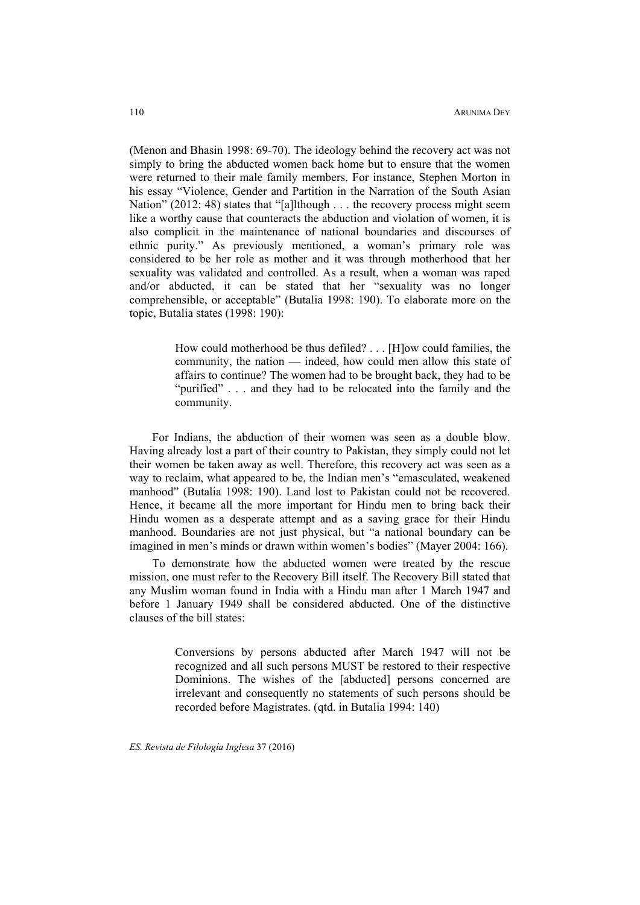(Menon and Bhasin 1998: 69-70). The ideology behind the recovery act was not simply to bring the abducted women back home but to ensure that the women were returned to their male family members. For instance, Stephen Morton in his essay "Violence, Gender and Partition in the Narration of the South Asian Nation" (2012: 48) states that "[a]lthough . . . the recovery process might seem like a worthy cause that counteracts the abduction and violation of women, it is also complicit in the maintenance of national boundaries and discourses of ethnic purity." As previously mentioned, a woman's primary role was considered to be her role as mother and it was through motherhood that her sexuality was validated and controlled. As a result, when a woman was raped and/or abducted, it can be stated that her "sexuality was no longer comprehensible, or acceptable" (Butalia 1998: 190). To elaborate more on the topic, Butalia states (1998: 190):

> How could motherhood be thus defiled? . . . [H]ow could families, the community, the nation — indeed, how could men allow this state of affairs to continue? The women had to be brought back, they had to be "purified" . . . and they had to be relocated into the family and the community.

For Indians, the abduction of their women was seen as a double blow. Having already lost a part of their country to Pakistan, they simply could not let their women be taken away as well. Therefore, this recovery act was seen as a way to reclaim, what appeared to be, the Indian men's "emasculated, weakened manhood" (Butalia 1998: 190). Land lost to Pakistan could not be recovered. Hence, it became all the more important for Hindu men to bring back their Hindu women as a desperate attempt and as a saving grace for their Hindu manhood. Boundaries are not just physical, but "a national boundary can be imagined in men's minds or drawn within women's bodies" (Mayer 2004: 166).

To demonstrate how the abducted women were treated by the rescue mission, one must refer to the Recovery Bill itself. The Recovery Bill stated that any Muslim woman found in India with a Hindu man after 1 March 1947 and before 1 January 1949 shall be considered abducted. One of the distinctive clauses of the bill states:

> Conversions by persons abducted after March 1947 will not be recognized and all such persons MUST be restored to their respective Dominions. The wishes of the [abducted] persons concerned are irrelevant and consequently no statements of such persons should be recorded before Magistrates. (qtd. in Butalia 1994: 140)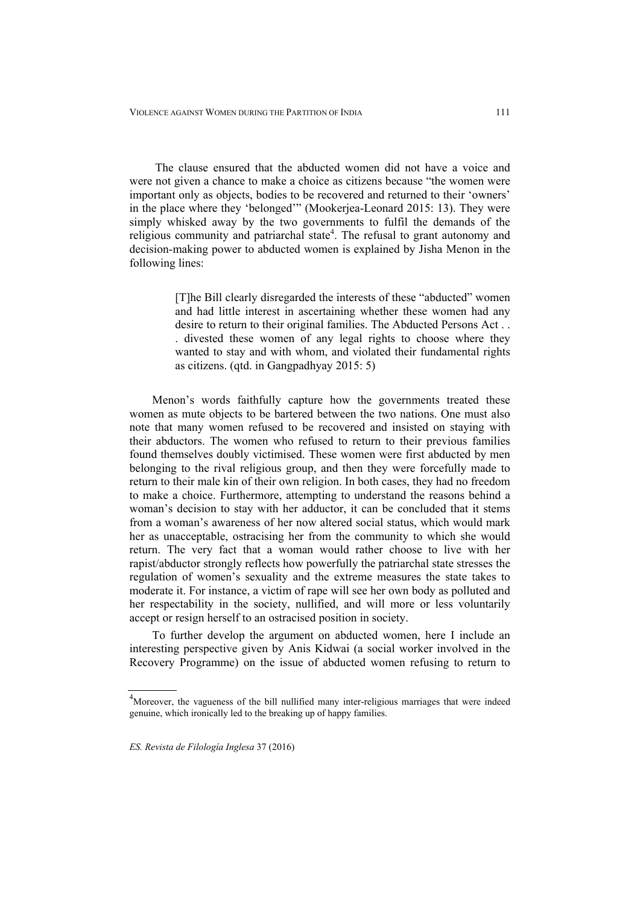The clause ensured that the abducted women did not have a voice and were not given a chance to make a choice as citizens because "the women were important only as objects, bodies to be recovered and returned to their 'owners' in the place where they 'belonged'" (Mookerjea-Leonard 2015: 13). They were simply whisked away by the two governments to fulfil the demands of the religious community and patriarchal state<sup>4</sup>. The refusal to grant autonomy and decision-making power to abducted women is explained by Jisha Menon in the following lines:

> [T]he Bill clearly disregarded the interests of these "abducted" women and had little interest in ascertaining whether these women had any desire to return to their original families. The Abducted Persons Act . . . divested these women of any legal rights to choose where they wanted to stay and with whom, and violated their fundamental rights as citizens. (qtd. in Gangpadhyay 2015: 5)

Menon's words faithfully capture how the governments treated these women as mute objects to be bartered between the two nations. One must also note that many women refused to be recovered and insisted on staying with their abductors. The women who refused to return to their previous families found themselves doubly victimised. These women were first abducted by men belonging to the rival religious group, and then they were forcefully made to return to their male kin of their own religion. In both cases, they had no freedom to make a choice. Furthermore, attempting to understand the reasons behind a woman's decision to stay with her adductor, it can be concluded that it stems from a woman's awareness of her now altered social status, which would mark her as unacceptable, ostracising her from the community to which she would return. The very fact that a woman would rather choose to live with her rapist/abductor strongly reflects how powerfully the patriarchal state stresses the regulation of women's sexuality and the extreme measures the state takes to moderate it. For instance, a victim of rape will see her own body as polluted and her respectability in the society, nullified, and will more or less voluntarily accept or resign herself to an ostracised position in society.

To further develop the argument on abducted women, here I include an interesting perspective given by Anis Kidwai (a social worker involved in the Recovery Programme) on the issue of abducted women refusing to return to

<sup>&</sup>lt;sup>4</sup>Moreover, the vagueness of the bill nullified many inter-religious marriages that were indeed genuine, which ironically led to the breaking up of happy families.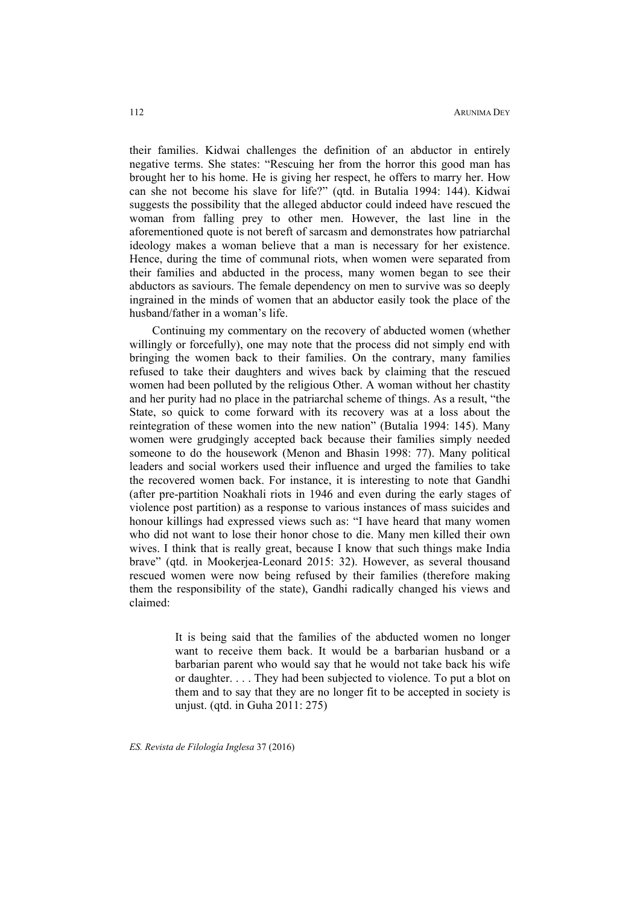their families. Kidwai challenges the definition of an abductor in entirely negative terms. She states: "Rescuing her from the horror this good man has brought her to his home. He is giving her respect, he offers to marry her. How can she not become his slave for life?" (qtd. in Butalia 1994: 144). Kidwai suggests the possibility that the alleged abductor could indeed have rescued the woman from falling prey to other men. However, the last line in the aforementioned quote is not bereft of sarcasm and demonstrates how patriarchal ideology makes a woman believe that a man is necessary for her existence. Hence, during the time of communal riots, when women were separated from their families and abducted in the process, many women began to see their abductors as saviours. The female dependency on men to survive was so deeply ingrained in the minds of women that an abductor easily took the place of the husband/father in a woman's life.

Continuing my commentary on the recovery of abducted women (whether willingly or forcefully), one may note that the process did not simply end with bringing the women back to their families. On the contrary, many families refused to take their daughters and wives back by claiming that the rescued women had been polluted by the religious Other. A woman without her chastity and her purity had no place in the patriarchal scheme of things. As a result, "the State, so quick to come forward with its recovery was at a loss about the reintegration of these women into the new nation" (Butalia 1994: 145). Many women were grudgingly accepted back because their families simply needed someone to do the housework (Menon and Bhasin 1998: 77). Many political leaders and social workers used their influence and urged the families to take the recovered women back. For instance, it is interesting to note that Gandhi (after pre-partition Noakhali riots in 1946 and even during the early stages of violence post partition) as a response to various instances of mass suicides and honour killings had expressed views such as: "I have heard that many women who did not want to lose their honor chose to die. Many men killed their own wives. I think that is really great, because I know that such things make India brave" (qtd. in Mookerjea-Leonard 2015: 32). However, as several thousand rescued women were now being refused by their families (therefore making them the responsibility of the state), Gandhi radically changed his views and claimed:

> It is being said that the families of the abducted women no longer want to receive them back. It would be a barbarian husband or a barbarian parent who would say that he would not take back his wife or daughter. . . . They had been subjected to violence. To put a blot on them and to say that they are no longer fit to be accepted in society is unjust. (qtd. in Guha 2011: 275)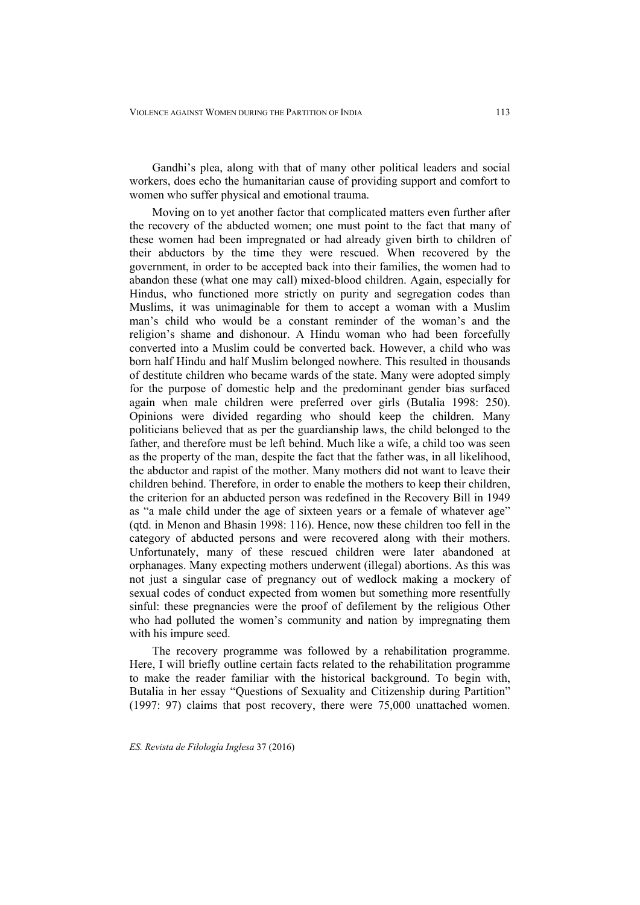Gandhi's plea, along with that of many other political leaders and social workers, does echo the humanitarian cause of providing support and comfort to women who suffer physical and emotional trauma.

Moving on to yet another factor that complicated matters even further after the recovery of the abducted women; one must point to the fact that many of these women had been impregnated or had already given birth to children of their abductors by the time they were rescued. When recovered by the government, in order to be accepted back into their families, the women had to abandon these (what one may call) mixed-blood children. Again, especially for Hindus, who functioned more strictly on purity and segregation codes than Muslims, it was unimaginable for them to accept a woman with a Muslim man's child who would be a constant reminder of the woman's and the religion's shame and dishonour. A Hindu woman who had been forcefully converted into a Muslim could be converted back. However, a child who was born half Hindu and half Muslim belonged nowhere. This resulted in thousands of destitute children who became wards of the state. Many were adopted simply for the purpose of domestic help and the predominant gender bias surfaced again when male children were preferred over girls (Butalia 1998: 250). Opinions were divided regarding who should keep the children. Many politicians believed that as per the guardianship laws, the child belonged to the father, and therefore must be left behind. Much like a wife, a child too was seen as the property of the man, despite the fact that the father was, in all likelihood, the abductor and rapist of the mother. Many mothers did not want to leave their children behind. Therefore, in order to enable the mothers to keep their children, the criterion for an abducted person was redefined in the Recovery Bill in 1949 as "a male child under the age of sixteen years or a female of whatever age" (qtd. in Menon and Bhasin 1998: 116). Hence, now these children too fell in the category of abducted persons and were recovered along with their mothers. Unfortunately, many of these rescued children were later abandoned at orphanages. Many expecting mothers underwent (illegal) abortions. As this was not just a singular case of pregnancy out of wedlock making a mockery of sexual codes of conduct expected from women but something more resentfully sinful: these pregnancies were the proof of defilement by the religious Other who had polluted the women's community and nation by impregnating them with his impure seed.

The recovery programme was followed by a rehabilitation programme. Here, I will briefly outline certain facts related to the rehabilitation programme to make the reader familiar with the historical background. To begin with, Butalia in her essay "Questions of Sexuality and Citizenship during Partition" (1997: 97) claims that post recovery, there were 75,000 unattached women.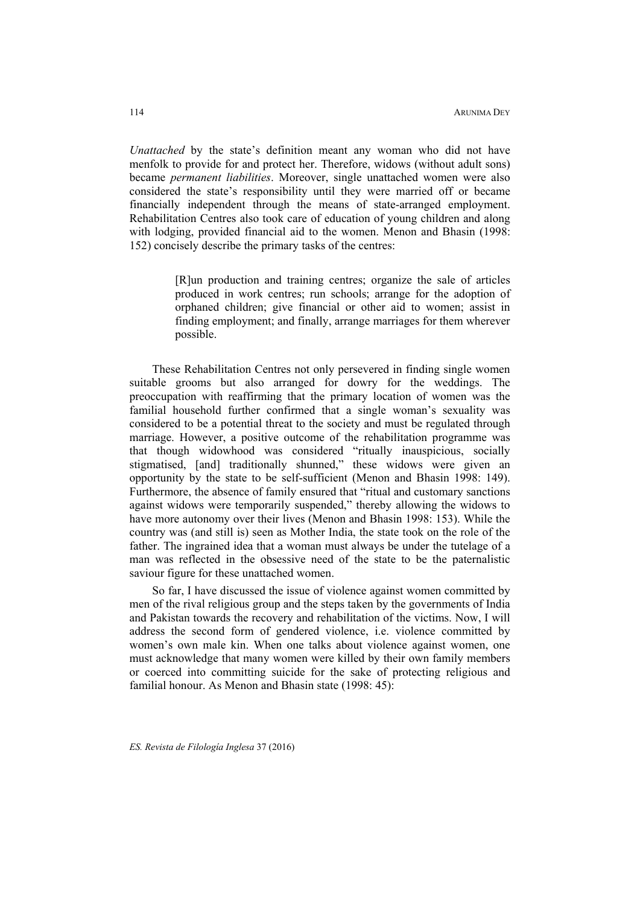*Unattached* by the state's definition meant any woman who did not have menfolk to provide for and protect her. Therefore, widows (without adult sons) became *permanent liabilities*. Moreover, single unattached women were also considered the state's responsibility until they were married off or became financially independent through the means of state-arranged employment. Rehabilitation Centres also took care of education of young children and along with lodging, provided financial aid to the women. Menon and Bhasin (1998: 152) concisely describe the primary tasks of the centres:

> [R]un production and training centres; organize the sale of articles produced in work centres; run schools; arrange for the adoption of orphaned children; give financial or other aid to women; assist in finding employment; and finally, arrange marriages for them wherever possible.

These Rehabilitation Centres not only persevered in finding single women suitable grooms but also arranged for dowry for the weddings. The preoccupation with reaffirming that the primary location of women was the familial household further confirmed that a single woman's sexuality was considered to be a potential threat to the society and must be regulated through marriage. However, a positive outcome of the rehabilitation programme was that though widowhood was considered "ritually inauspicious, socially stigmatised, [and] traditionally shunned," these widows were given an opportunity by the state to be self-sufficient (Menon and Bhasin 1998: 149). Furthermore, the absence of family ensured that "ritual and customary sanctions against widows were temporarily suspended," thereby allowing the widows to have more autonomy over their lives (Menon and Bhasin 1998: 153). While the country was (and still is) seen as Mother India, the state took on the role of the father. The ingrained idea that a woman must always be under the tutelage of a man was reflected in the obsessive need of the state to be the paternalistic saviour figure for these unattached women.

So far, I have discussed the issue of violence against women committed by men of the rival religious group and the steps taken by the governments of India and Pakistan towards the recovery and rehabilitation of the victims. Now, I will address the second form of gendered violence, i.e. violence committed by women's own male kin. When one talks about violence against women, one must acknowledge that many women were killed by their own family members or coerced into committing suicide for the sake of protecting religious and familial honour. As Menon and Bhasin state (1998: 45):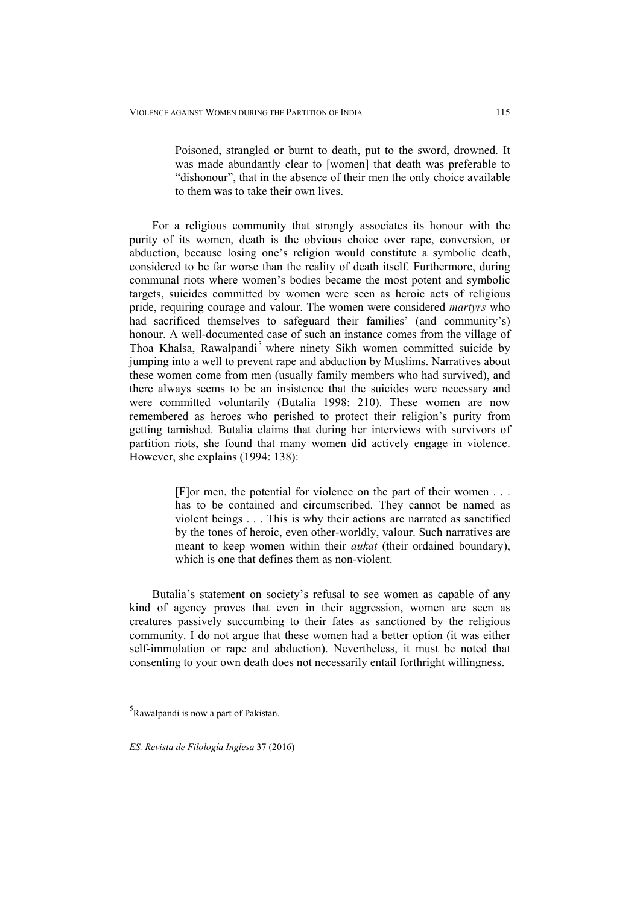Poisoned, strangled or burnt to death, put to the sword, drowned. It was made abundantly clear to [women] that death was preferable to "dishonour", that in the absence of their men the only choice available to them was to take their own lives.

For a religious community that strongly associates its honour with the purity of its women, death is the obvious choice over rape, conversion, or abduction, because losing one's religion would constitute a symbolic death, considered to be far worse than the reality of death itself. Furthermore, during communal riots where women's bodies became the most potent and symbolic targets, suicides committed by women were seen as heroic acts of religious pride, requiring courage and valour. The women were considered *martyrs* who had sacrificed themselves to safeguard their families' (and community's) honour. A well-documented case of such an instance comes from the village of Thoa Khalsa, Rawalpandi<sup>5</sup> where ninety Sikh women committed suicide by jumping into a well to prevent rape and abduction by Muslims. Narratives about these women come from men (usually family members who had survived), and there always seems to be an insistence that the suicides were necessary and were committed voluntarily (Butalia 1998: 210). These women are now remembered as heroes who perished to protect their religion's purity from getting tarnished. Butalia claims that during her interviews with survivors of partition riots, she found that many women did actively engage in violence. However, she explains (1994: 138):

> [F]or men, the potential for violence on the part of their women . . . has to be contained and circumscribed. They cannot be named as violent beings . . . This is why their actions are narrated as sanctified by the tones of heroic, even other-worldly, valour. Such narratives are meant to keep women within their *aukat* (their ordained boundary), which is one that defines them as non-violent.

Butalia's statement on society's refusal to see women as capable of any kind of agency proves that even in their aggression, women are seen as creatures passively succumbing to their fates as sanctioned by the religious community. I do not argue that these women had a better option (it was either self-immolation or rape and abduction). Nevertheless, it must be noted that consenting to your own death does not necessarily entail forthright willingness.

<sup>5</sup> Rawalpandi is now a part of Pakistan.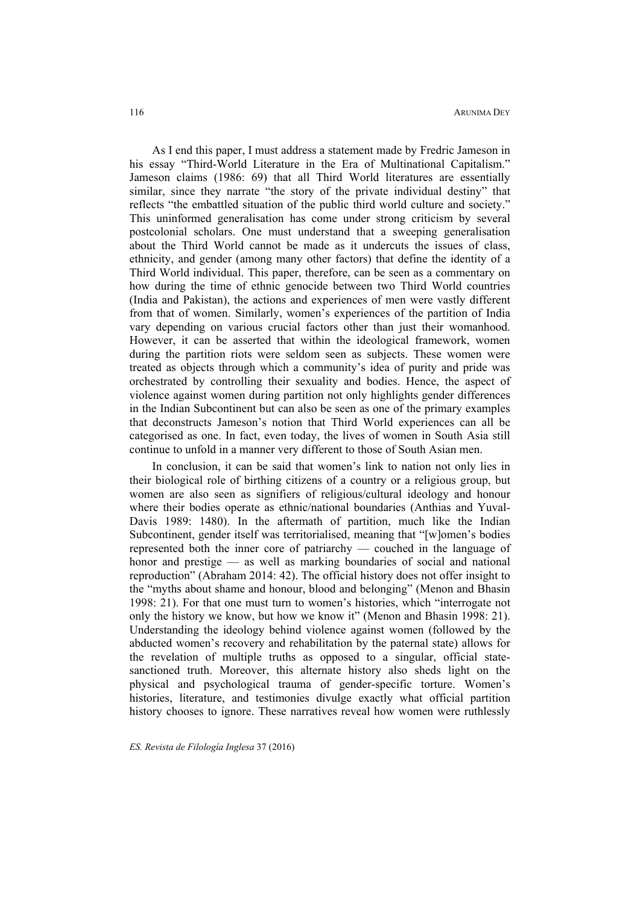As I end this paper, I must address a statement made by Fredric Jameson in his essay "Third-World Literature in the Era of Multinational Capitalism." Jameson claims (1986: 69) that all Third World literatures are essentially similar, since they narrate "the story of the private individual destiny" that reflects "the embattled situation of the public third world culture and society." This uninformed generalisation has come under strong criticism by several postcolonial scholars. One must understand that a sweeping generalisation about the Third World cannot be made as it undercuts the issues of class, ethnicity, and gender (among many other factors) that define the identity of a Third World individual. This paper, therefore, can be seen as a commentary on how during the time of ethnic genocide between two Third World countries (India and Pakistan), the actions and experiences of men were vastly different from that of women. Similarly, women's experiences of the partition of India vary depending on various crucial factors other than just their womanhood. However, it can be asserted that within the ideological framework, women during the partition riots were seldom seen as subjects. These women were treated as objects through which a community's idea of purity and pride was orchestrated by controlling their sexuality and bodies. Hence, the aspect of violence against women during partition not only highlights gender differences in the Indian Subcontinent but can also be seen as one of the primary examples that deconstructs Jameson's notion that Third World experiences can all be categorised as one. In fact, even today, the lives of women in South Asia still continue to unfold in a manner very different to those of South Asian men.

In conclusion, it can be said that women's link to nation not only lies in their biological role of birthing citizens of a country or a religious group, but women are also seen as signifiers of religious/cultural ideology and honour where their bodies operate as ethnic/national boundaries (Anthias and Yuval-Davis 1989: 1480). In the aftermath of partition, much like the Indian Subcontinent, gender itself was territorialised, meaning that "[w]omen's bodies represented both the inner core of patriarchy — couched in the language of honor and prestige — as well as marking boundaries of social and national reproduction" (Abraham 2014: 42). The official history does not offer insight to the "myths about shame and honour, blood and belonging" (Menon and Bhasin 1998: 21). For that one must turn to women's histories, which "interrogate not only the history we know, but how we know it" (Menon and Bhasin 1998: 21). Understanding the ideology behind violence against women (followed by the abducted women's recovery and rehabilitation by the paternal state) allows for the revelation of multiple truths as opposed to a singular, official statesanctioned truth. Moreover, this alternate history also sheds light on the physical and psychological trauma of gender-specific torture. Women's histories, literature, and testimonies divulge exactly what official partition history chooses to ignore. These narratives reveal how women were ruthlessly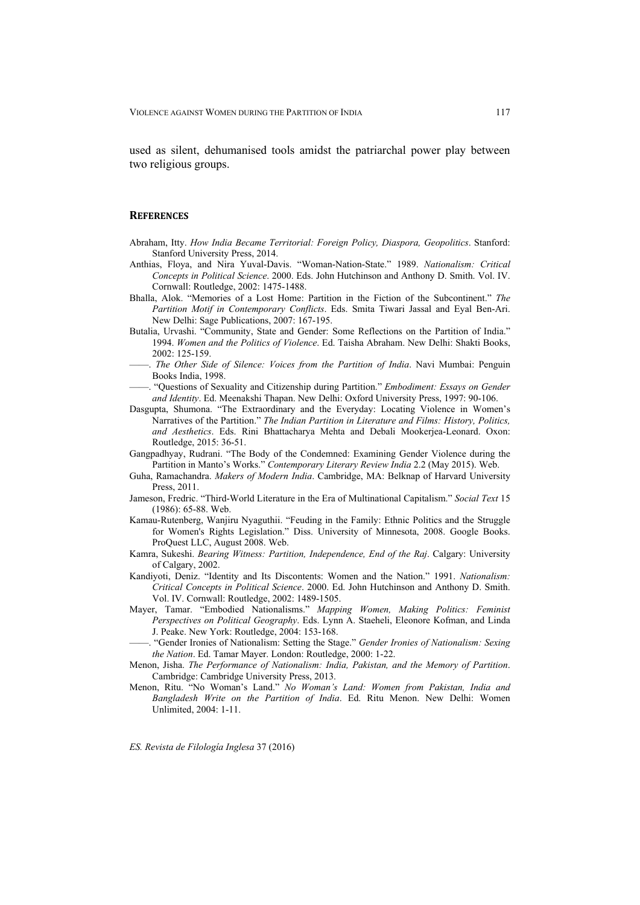used as silent, dehumanised tools amidst the patriarchal power play between two religious groups.

## **REFERENCES**

- Abraham, Itty. *How India Became Territorial: Foreign Policy, Diaspora, Geopolitics*. Stanford: Stanford University Press, 2014.
- Anthias, Floya, and Nira Yuval-Davis. "Woman-Nation-State." 1989. *Nationalism: Critical Concepts in Political Science*. 2000. Eds. John Hutchinson and Anthony D. Smith. Vol. IV. Cornwall: Routledge, 2002: 1475-1488.
- Bhalla, Alok. "Memories of a Lost Home: Partition in the Fiction of the Subcontinent." *The Partition Motif in Contemporary Conflicts*. Eds. Smita Tiwari Jassal and Eyal Ben-Ari. New Delhi: Sage Publications, 2007: 167-195.
- Butalia, Urvashi. "Community, State and Gender: Some Reflections on the Partition of India." 1994. *Women and the Politics of Violence*. Ed. Taisha Abraham. New Delhi: Shakti Books, 2002: 125-159.
- ——. *The Other Side of Silence: Voices from the Partition of India*. Navi Mumbai: Penguin Books India, 1998.
- ——. "Questions of Sexuality and Citizenship during Partition." *Embodiment: Essays on Gender and Identity*. Ed. Meenakshi Thapan. New Delhi: Oxford University Press, 1997: 90-106.
- Dasgupta, Shumona. "The Extraordinary and the Everyday: Locating Violence in Women's Narratives of the Partition." *The Indian Partition in Literature and Films: History, Politics, and Aesthetics*. Eds. Rini Bhattacharya Mehta and Debali Mookerjea-Leonard. Oxon: Routledge, 2015: 36-51.
- Gangpadhyay, Rudrani. "The Body of the Condemned: Examining Gender Violence during the Partition in Manto's Works." *Contemporary Literary Review India* 2.2 (May 2015). Web.
- Guha, Ramachandra. *Makers of Modern India*. Cambridge, MA: Belknap of Harvard University Press, 2011.
- Jameson, Fredric. "Third-World Literature in the Era of Multinational Capitalism." *Social Text* 15 (1986): 65-88. Web.
- Kamau-Rutenberg, Wanjiru Nyaguthii. "Feuding in the Family: Ethnic Politics and the Struggle for Women's Rights Legislation." Diss. University of Minnesota, 2008. Google Books. ProQuest LLC, August 2008. Web.
- Kamra, Sukeshi. *Bearing Witness: Partition, Independence, End of the Raj*. Calgary: University of Calgary, 2002.
- Kandiyoti, Deniz. "Identity and Its Discontents: Women and the Nation." 1991. *Nationalism: Critical Concepts in Political Science*. 2000. Ed. John Hutchinson and Anthony D. Smith. Vol. IV. Cornwall: Routledge, 2002: 1489-1505.
- Mayer, Tamar. "Embodied Nationalisms." *Mapping Women, Making Politics: Feminist Perspectives on Political Geography*. Eds. Lynn A. Staeheli, Eleonore Kofman, and Linda J. Peake. New York: Routledge, 2004: 153-168.
- ——. "Gender Ironies of Nationalism: Setting the Stage." *Gender Ironies of Nationalism: Sexing the Nation*. Ed. Tamar Mayer. London: Routledge, 2000: 1-22.
- Menon, Jisha. *The Performance of Nationalism: India, Pakistan, and the Memory of Partition*. Cambridge: Cambridge University Press, 2013.
- Menon, Ritu. "No Woman's Land." *No Woman's Land: Women from Pakistan, India and Bangladesh Write on the Partition of India*. Ed. Ritu Menon. New Delhi: Women Unlimited, 2004: 1-11.